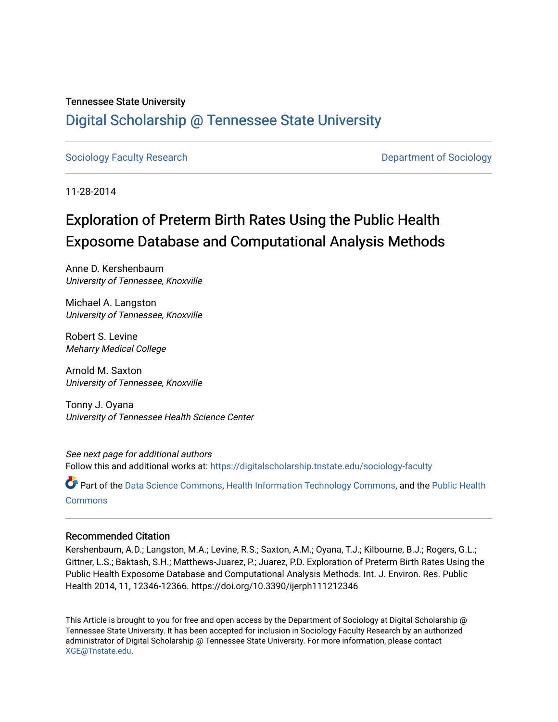# Tennessee State University [Digital Scholarship @ Tennessee State University](https://digitalscholarship.tnstate.edu/)

[Sociology Faculty Research](https://digitalscholarship.tnstate.edu/sociology-faculty) **Department of Sociology Department of Sociology** 

11-28-2014

# Exploration of Preterm Birth Rates Using the Public Health Exposome Database and Computational Analysis Methods

Anne D. Kershenbaum University of Tennessee, Knoxville

Michael A. Langston University of Tennessee, Knoxville

Robert S. Levine Meharry Medical College

Arnold M. Saxton University of Tennessee, Knoxville

Tonny J. Oyana University of Tennessee Health Science Center

See next page for additional authors Follow this and additional works at: [https://digitalscholarship.tnstate.edu/sociology-faculty](https://digitalscholarship.tnstate.edu/sociology-faculty?utm_source=digitalscholarship.tnstate.edu%2Fsociology-faculty%2F10&utm_medium=PDF&utm_campaign=PDFCoverPages) 

Part of the [Data Science Commons,](https://network.bepress.com/hgg/discipline/1429?utm_source=digitalscholarship.tnstate.edu%2Fsociology-faculty%2F10&utm_medium=PDF&utm_campaign=PDFCoverPages) [Health Information Technology Commons](https://network.bepress.com/hgg/discipline/1239?utm_source=digitalscholarship.tnstate.edu%2Fsociology-faculty%2F10&utm_medium=PDF&utm_campaign=PDFCoverPages), and the [Public Health](https://network.bepress.com/hgg/discipline/738?utm_source=digitalscholarship.tnstate.edu%2Fsociology-faculty%2F10&utm_medium=PDF&utm_campaign=PDFCoverPages) **[Commons](https://network.bepress.com/hgg/discipline/738?utm_source=digitalscholarship.tnstate.edu%2Fsociology-faculty%2F10&utm_medium=PDF&utm_campaign=PDFCoverPages)** 

#### Recommended Citation

Kershenbaum, A.D.; Langston, M.A.; Levine, R.S.; Saxton, A.M.; Oyana, T.J.; Kilbourne, B.J.; Rogers, G.L.; Gittner, L.S.; Baktash, S.H.; Matthews-Juarez, P.; Juarez, P.D. Exploration of Preterm Birth Rates Using the Public Health Exposome Database and Computational Analysis Methods. Int. J. Environ. Res. Public Health 2014, 11, 12346-12366. https://doi.org/10.3390/ijerph111212346

This Article is brought to you for free and open access by the Department of Sociology at Digital Scholarship @ Tennessee State University. It has been accepted for inclusion in Sociology Faculty Research by an authorized administrator of Digital Scholarship @ Tennessee State University. For more information, please contact [XGE@Tnstate.edu](mailto:XGE@Tnstate.edu).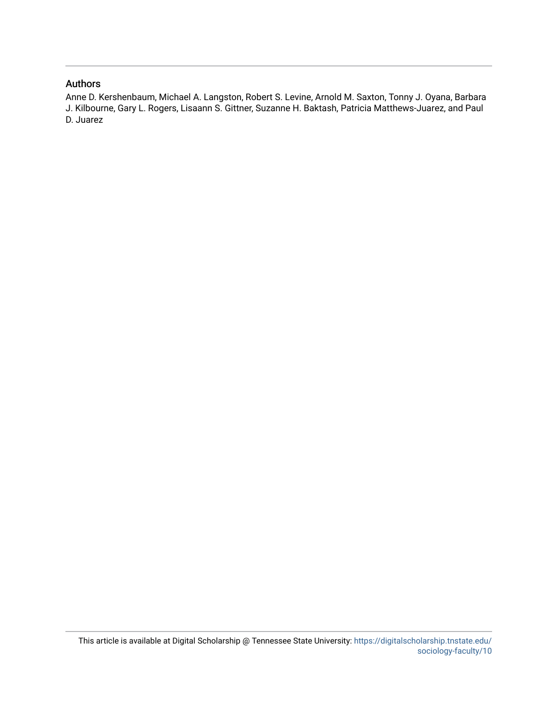## Authors

Anne D. Kershenbaum, Michael A. Langston, Robert S. Levine, Arnold M. Saxton, Tonny J. Oyana, Barbara J. Kilbourne, Gary L. Rogers, Lisaann S. Gittner, Suzanne H. Baktash, Patricia Matthews-Juarez, and Paul D. Juarez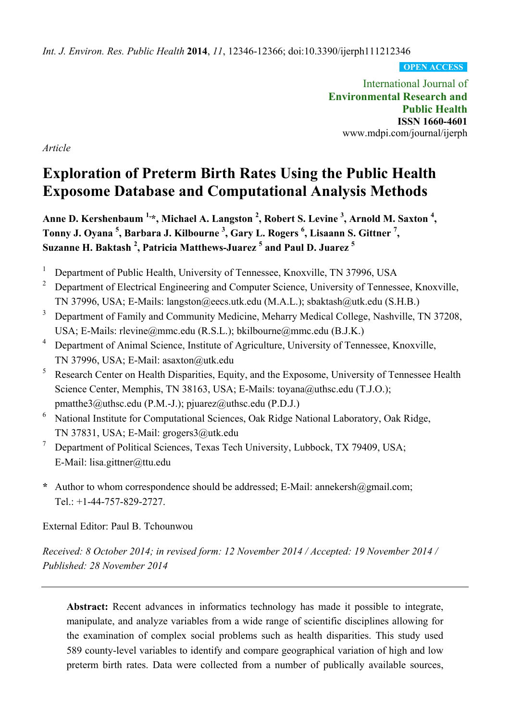*Int. J. Environ. Res. Public Health* **2014**, *11*, 12346-12366; doi:10.3390/ijerph111212346

**OPEN ACCESS**

International Journal of **Environmental Research and Public Health ISSN 1660-4601** www.mdpi.com/journal/ijerph

*Article*

# **Exploration of Preterm Birth Rates Using the Public Health Exposome Database and Computational Analysis Methods**

Anne D. Kershenbaum <sup>1,</sup>\*, Michael A. Langston <sup>2</sup>, Robert S. Levine <sup>3</sup>, Arnold M. Saxton <sup>4</sup>, **Tonny J. Oyana 5 , Barbara J. Kilbourne 3 , Gary L. Rogers 6 , Lisaann S. Gittner <sup>7</sup> , Suzanne H. Baktash <sup>2</sup> , Patricia Matthews-Juarez 5 and Paul D. Juarez <sup>5</sup>**

- 1 Department of Public Health, University of Tennessee, Knoxville, TN 37996, USA
- 2 Department of Electrical Engineering and Computer Science, University of Tennessee, Knoxville, TN 37996, USA; E-Mails: langston@eecs.utk.edu (M.A.L.); sbaktash@utk.edu (S.H.B.)
- 3 Department of Family and Community Medicine, Meharry Medical College, Nashville, TN 37208, USA; E-Mails: rlevine@mmc.edu (R.S.L.); bkilbourne@mmc.edu (B.J.K.)
- 4 Department of Animal Science, Institute of Agriculture, University of Tennessee, Knoxville, TN 37996, USA; E-Mail: asaxton@utk.edu
- 5 Research Center on Health Disparities, Equity, and the Exposome, University of Tennessee Health Science Center, Memphis, TN 38163, USA; E-Mails: toyana@uthsc.edu (T.J.O.); pmatthe3@uthsc.edu (P.M.-J.); pjuarez@uthsc.edu (P.D.J.)
- <sup>6</sup> National Institute for Computational Sciences, Oak Ridge National Laboratory, Oak Ridge, TN 37831, USA; E-Mail: grogers3@utk.edu
- 7 Department of Political Sciences, Texas Tech University, Lubbock, TX 79409, USA; E-Mail: lisa.gittner@ttu.edu
- **\*** Author to whom correspondence should be addressed; E-Mail: annekersh@gmail.com; Tel.: +1-44-757-829-2727.

External Editor: Paul B. Tchounwou

*Received: 8 October 2014; in revised form: 12 November 2014 / Accepted: 19 November 2014 / Published: 28 November 2014* 

**Abstract:** Recent advances in informatics technology has made it possible to integrate, manipulate, and analyze variables from a wide range of scientific disciplines allowing for the examination of complex social problems such as health disparities. This study used 589 county-level variables to identify and compare geographical variation of high and low preterm birth rates. Data were collected from a number of publically available sources,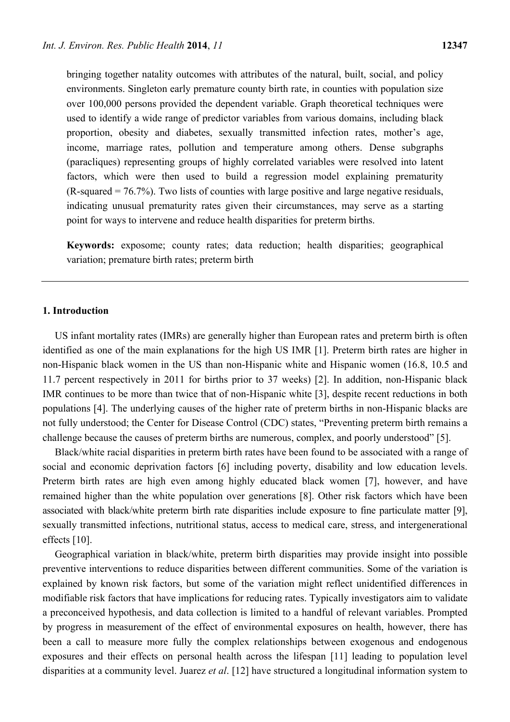bringing together natality outcomes with attributes of the natural, built, social, and policy environments. Singleton early premature county birth rate, in counties with population size over 100,000 persons provided the dependent variable. Graph theoretical techniques were used to identify a wide range of predictor variables from various domains, including black proportion, obesity and diabetes, sexually transmitted infection rates, mother's age, income, marriage rates, pollution and temperature among others. Dense subgraphs (paracliques) representing groups of highly correlated variables were resolved into latent factors, which were then used to build a regression model explaining prematurity  $(R-squared = 76.7\%)$ . Two lists of counties with large positive and large negative residuals, indicating unusual prematurity rates given their circumstances, may serve as a starting point for ways to intervene and reduce health disparities for preterm births.

**Keywords:** exposome; county rates; data reduction; health disparities; geographical variation; premature birth rates; preterm birth

## **1. Introduction**

US infant mortality rates (IMRs) are generally higher than European rates and preterm birth is often identified as one of the main explanations for the high US IMR [1]. Preterm birth rates are higher in non-Hispanic black women in the US than non-Hispanic white and Hispanic women (16.8, 10.5 and 11.7 percent respectively in 2011 for births prior to 37 weeks) [2]. In addition, non-Hispanic black IMR continues to be more than twice that of non-Hispanic white [3], despite recent reductions in both populations [4]. The underlying causes of the higher rate of preterm births in non-Hispanic blacks are not fully understood; the Center for Disease Control (CDC) states, "Preventing preterm birth remains a challenge because the causes of preterm births are numerous, complex, and poorly understood" [5].

Black/white racial disparities in preterm birth rates have been found to be associated with a range of social and economic deprivation factors [6] including poverty, disability and low education levels. Preterm birth rates are high even among highly educated black women [7], however, and have remained higher than the white population over generations [8]. Other risk factors which have been associated with black/white preterm birth rate disparities include exposure to fine particulate matter [9], sexually transmitted infections, nutritional status, access to medical care, stress, and intergenerational effects [10].

Geographical variation in black/white, preterm birth disparities may provide insight into possible preventive interventions to reduce disparities between different communities. Some of the variation is explained by known risk factors, but some of the variation might reflect unidentified differences in modifiable risk factors that have implications for reducing rates. Typically investigators aim to validate a preconceived hypothesis, and data collection is limited to a handful of relevant variables. Prompted by progress in measurement of the effect of environmental exposures on health, however, there has been a call to measure more fully the complex relationships between exogenous and endogenous exposures and their effects on personal health across the lifespan [11] leading to population level disparities at a community level. Juarez *et al*. [12] have structured a longitudinal information system to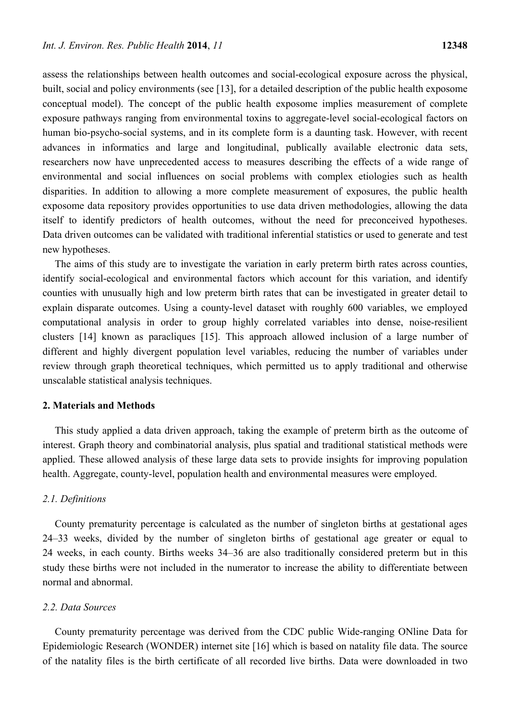assess the relationships between health outcomes and social-ecological exposure across the physical, built, social and policy environments (see [13], for a detailed description of the public health exposome conceptual model). The concept of the public health exposome implies measurement of complete exposure pathways ranging from environmental toxins to aggregate-level social-ecological factors on human bio-psycho-social systems, and in its complete form is a daunting task. However, with recent advances in informatics and large and longitudinal, publically available electronic data sets, researchers now have unprecedented access to measures describing the effects of a wide range of environmental and social influences on social problems with complex etiologies such as health disparities. In addition to allowing a more complete measurement of exposures, the public health exposome data repository provides opportunities to use data driven methodologies, allowing the data itself to identify predictors of health outcomes, without the need for preconceived hypotheses. Data driven outcomes can be validated with traditional inferential statistics or used to generate and test new hypotheses.

The aims of this study are to investigate the variation in early preterm birth rates across counties, identify social-ecological and environmental factors which account for this variation, and identify counties with unusually high and low preterm birth rates that can be investigated in greater detail to explain disparate outcomes. Using a county-level dataset with roughly 600 variables, we employed computational analysis in order to group highly correlated variables into dense, noise-resilient clusters [14] known as paracliques [15]. This approach allowed inclusion of a large number of different and highly divergent population level variables, reducing the number of variables under review through graph theoretical techniques, which permitted us to apply traditional and otherwise unscalable statistical analysis techniques.

#### **2. Materials and Methods**

This study applied a data driven approach, taking the example of preterm birth as the outcome of interest. Graph theory and combinatorial analysis, plus spatial and traditional statistical methods were applied. These allowed analysis of these large data sets to provide insights for improving population health. Aggregate, county-level, population health and environmental measures were employed.

## *2.1. Definitions*

County prematurity percentage is calculated as the number of singleton births at gestational ages 24–33 weeks, divided by the number of singleton births of gestational age greater or equal to 24 weeks, in each county. Births weeks 34–36 are also traditionally considered preterm but in this study these births were not included in the numerator to increase the ability to differentiate between normal and abnormal.

#### *2.2. Data Sources*

County prematurity percentage was derived from the CDC public Wide-ranging ONline Data for Epidemiologic Research (WONDER) internet site [16] which is based on natality file data. The source of the natality files is the birth certificate of all recorded live births. Data were downloaded in two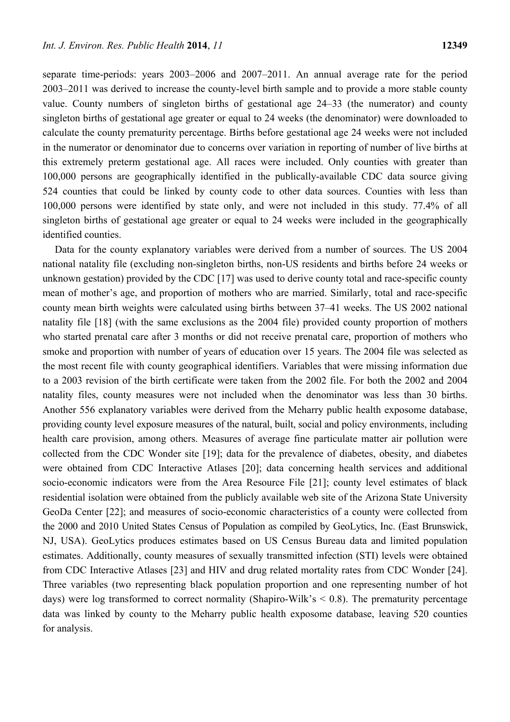separate time-periods: years 2003–2006 and 2007–2011. An annual average rate for the period 2003–2011 was derived to increase the county-level birth sample and to provide a more stable county value. County numbers of singleton births of gestational age 24–33 (the numerator) and county singleton births of gestational age greater or equal to 24 weeks (the denominator) were downloaded to calculate the county prematurity percentage. Births before gestational age 24 weeks were not included in the numerator or denominator due to concerns over variation in reporting of number of live births at this extremely preterm gestational age. All races were included. Only counties with greater than 100,000 persons are geographically identified in the publically-available CDC data source giving 524 counties that could be linked by county code to other data sources. Counties with less than 100,000 persons were identified by state only, and were not included in this study. 77.4% of all singleton births of gestational age greater or equal to 24 weeks were included in the geographically identified counties.

Data for the county explanatory variables were derived from a number of sources. The US 2004 national natality file (excluding non-singleton births, non-US residents and births before 24 weeks or unknown gestation) provided by the CDC [17] was used to derive county total and race-specific county mean of mother's age, and proportion of mothers who are married. Similarly, total and race-specific county mean birth weights were calculated using births between 37–41 weeks. The US 2002 national natality file [18] (with the same exclusions as the 2004 file) provided county proportion of mothers who started prenatal care after 3 months or did not receive prenatal care, proportion of mothers who smoke and proportion with number of years of education over 15 years. The 2004 file was selected as the most recent file with county geographical identifiers. Variables that were missing information due to a 2003 revision of the birth certificate were taken from the 2002 file. For both the 2002 and 2004 natality files, county measures were not included when the denominator was less than 30 births. Another 556 explanatory variables were derived from the Meharry public health exposome database, providing county level exposure measures of the natural, built, social and policy environments, including health care provision, among others. Measures of average fine particulate matter air pollution were collected from the CDC Wonder site [19]; data for the prevalence of diabetes, obesity, and diabetes were obtained from CDC Interactive Atlases [20]; data concerning health services and additional socio-economic indicators were from the Area Resource File [21]; county level estimates of black residential isolation were obtained from the publicly available web site of the Arizona State University GeoDa Center [22]; and measures of socio-economic characteristics of a county were collected from the 2000 and 2010 United States Census of Population as compiled by GeoLytics, Inc. (East Brunswick, NJ, USA). GeoLytics produces estimates based on US Census Bureau data and limited population estimates. Additionally, county measures of sexually transmitted infection (STI) levels were obtained from CDC Interactive Atlases [23] and HIV and drug related mortality rates from CDC Wonder [24]. Three variables (two representing black population proportion and one representing number of hot days) were log transformed to correct normality (Shapiro-Wilk's  $\leq$  0.8). The prematurity percentage data was linked by county to the Meharry public health exposome database, leaving 520 counties for analysis.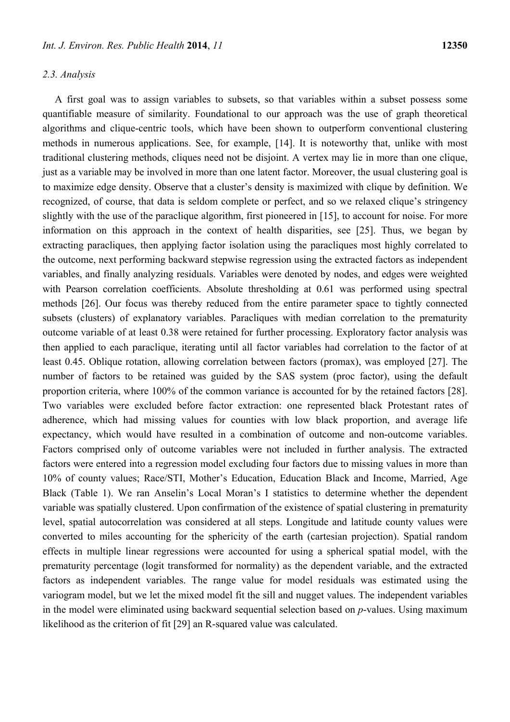# *2.3. Analysis*

A first goal was to assign variables to subsets, so that variables within a subset possess some quantifiable measure of similarity. Foundational to our approach was the use of graph theoretical algorithms and clique-centric tools, which have been shown to outperform conventional clustering methods in numerous applications. See, for example, [14]. It is noteworthy that, unlike with most traditional clustering methods, cliques need not be disjoint. A vertex may lie in more than one clique, just as a variable may be involved in more than one latent factor. Moreover, the usual clustering goal is to maximize edge density. Observe that a cluster's density is maximized with clique by definition. We recognized, of course, that data is seldom complete or perfect, and so we relaxed clique's stringency slightly with the use of the paraclique algorithm, first pioneered in [15], to account for noise. For more information on this approach in the context of health disparities, see [25]. Thus, we began by extracting paracliques, then applying factor isolation using the paracliques most highly correlated to the outcome, next performing backward stepwise regression using the extracted factors as independent variables, and finally analyzing residuals. Variables were denoted by nodes, and edges were weighted with Pearson correlation coefficients. Absolute thresholding at 0.61 was performed using spectral methods [26]. Our focus was thereby reduced from the entire parameter space to tightly connected subsets (clusters) of explanatory variables. Paracliques with median correlation to the prematurity outcome variable of at least 0.38 were retained for further processing. Exploratory factor analysis was then applied to each paraclique, iterating until all factor variables had correlation to the factor of at least 0.45. Oblique rotation, allowing correlation between factors (promax), was employed [27]. The number of factors to be retained was guided by the SAS system (proc factor), using the default proportion criteria, where 100% of the common variance is accounted for by the retained factors [28]. Two variables were excluded before factor extraction: one represented black Protestant rates of adherence, which had missing values for counties with low black proportion, and average life expectancy, which would have resulted in a combination of outcome and non-outcome variables. Factors comprised only of outcome variables were not included in further analysis. The extracted factors were entered into a regression model excluding four factors due to missing values in more than 10% of county values; Race/STI, Mother's Education, Education Black and Income, Married, Age Black (Table 1). We ran Anselin's Local Moran's I statistics to determine whether the dependent variable was spatially clustered. Upon confirmation of the existence of spatial clustering in prematurity level, spatial autocorrelation was considered at all steps. Longitude and latitude county values were converted to miles accounting for the sphericity of the earth (cartesian projection). Spatial random effects in multiple linear regressions were accounted for using a spherical spatial model, with the prematurity percentage (logit transformed for normality) as the dependent variable, and the extracted factors as independent variables. The range value for model residuals was estimated using the variogram model, but we let the mixed model fit the sill and nugget values. The independent variables in the model were eliminated using backward sequential selection based on *p*-values. Using maximum likelihood as the criterion of fit [29] an R-squared value was calculated.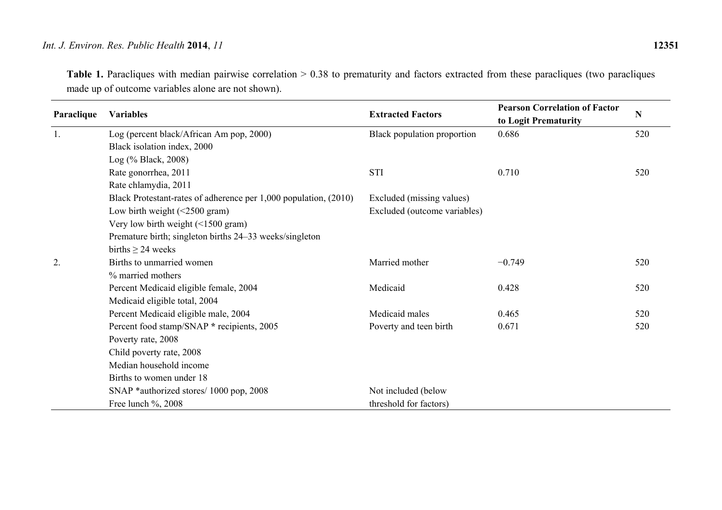Table 1. Paracliques with median pairwise correlation > 0.38 to prematurity and factors extracted from these paracliques (two paracliques made up of outcome variables alone are not shown).

| Paraclique | <b>Variables</b>                                                 | <b>Extracted Factors</b>     | <b>Pearson Correlation of Factor</b><br>to Logit Prematurity | $\mathbf N$ |
|------------|------------------------------------------------------------------|------------------------------|--------------------------------------------------------------|-------------|
| 1.         | Log (percent black/African Am pop, 2000)                         | Black population proportion  | 0.686                                                        | 520         |
|            | Black isolation index, 2000                                      |                              |                                                              |             |
|            | Log (% Black, 2008)                                              |                              |                                                              |             |
|            | Rate gonorrhea, 2011                                             | <b>STI</b>                   | 0.710                                                        | 520         |
|            | Rate chlamydia, 2011                                             |                              |                                                              |             |
|            | Black Protestant-rates of adherence per 1,000 population, (2010) | Excluded (missing values)    |                                                              |             |
|            | Low birth weight (<2500 gram)                                    | Excluded (outcome variables) |                                                              |             |
|            | Very low birth weight $(\leq 1500 \text{ gram})$                 |                              |                                                              |             |
|            | Premature birth; singleton births 24–33 weeks/singleton          |                              |                                                              |             |
|            | births $\geq$ 24 weeks                                           |                              |                                                              |             |
| 2.         | Births to unmarried women                                        | Married mother               | $-0.749$                                                     | 520         |
|            | % married mothers                                                |                              |                                                              |             |
|            | Percent Medicaid eligible female, 2004                           | Medicaid                     | 0.428                                                        | 520         |
|            | Medicaid eligible total, 2004                                    |                              |                                                              |             |
|            | Percent Medicaid eligible male, 2004                             | Medicaid males               | 0.465                                                        | 520         |
|            | Percent food stamp/SNAP * recipients, 2005                       | Poverty and teen birth       | 0.671                                                        | 520         |
|            | Poverty rate, 2008                                               |                              |                                                              |             |
|            | Child poverty rate, 2008                                         |                              |                                                              |             |
|            | Median household income                                          |                              |                                                              |             |
|            | Births to women under 18                                         |                              |                                                              |             |
|            | SNAP *authorized stores/ 1000 pop, 2008                          | Not included (below          |                                                              |             |
|            | Free lunch %, 2008                                               | threshold for factors)       |                                                              |             |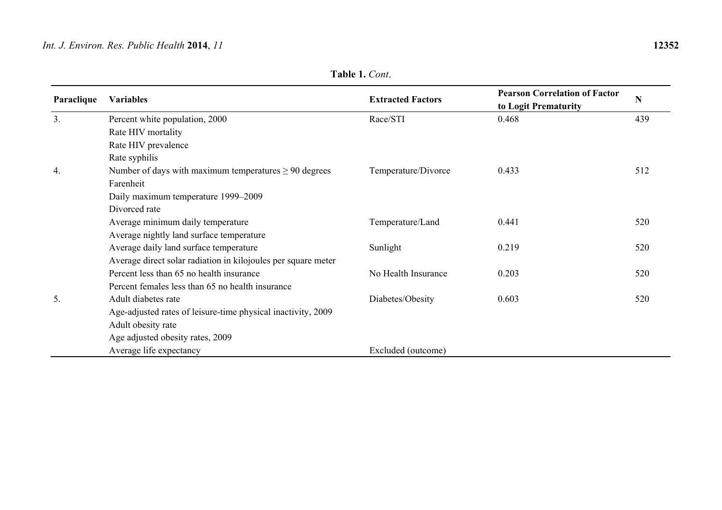|  | Table 1. Cont. |
|--|----------------|
|  |                |

| Paraclique | <b>Variables</b>                                              | <b>Extracted Factors</b> | <b>Pearson Correlation of Factor</b><br>to Logit Prematurity | N   |
|------------|---------------------------------------------------------------|--------------------------|--------------------------------------------------------------|-----|
| 3.         | Percent white population, 2000                                | Race/STI                 | 0.468                                                        | 439 |
|            | Rate HIV mortality                                            |                          |                                                              |     |
|            | Rate HIV prevalence                                           |                          |                                                              |     |
|            | Rate syphilis                                                 |                          |                                                              |     |
| 4.         | Number of days with maximum temperatures $\geq 90$ degrees    | Temperature/Divorce      | 0.433                                                        | 512 |
|            | Farenheit                                                     |                          |                                                              |     |
|            | Daily maximum temperature 1999-2009                           |                          |                                                              |     |
|            | Divorced rate                                                 |                          |                                                              |     |
|            | Average minimum daily temperature                             | Temperature/Land         | 0.441                                                        | 520 |
|            | Average nightly land surface temperature                      |                          |                                                              |     |
|            | Average daily land surface temperature                        | Sunlight                 | 0.219                                                        | 520 |
|            | Average direct solar radiation in kilojoules per square meter |                          |                                                              |     |
|            | Percent less than 65 no health insurance                      | No Health Insurance      | 0.203                                                        | 520 |
|            | Percent females less than 65 no health insurance              |                          |                                                              |     |
| 5.         | Adult diabetes rate                                           | Diabetes/Obesity         | 0.603                                                        | 520 |
|            | Age-adjusted rates of leisure-time physical inactivity, 2009  |                          |                                                              |     |
|            | Adult obesity rate                                            |                          |                                                              |     |
|            | Age adjusted obesity rates, 2009                              |                          |                                                              |     |
|            | Average life expectancy                                       | Excluded (outcome)       |                                                              |     |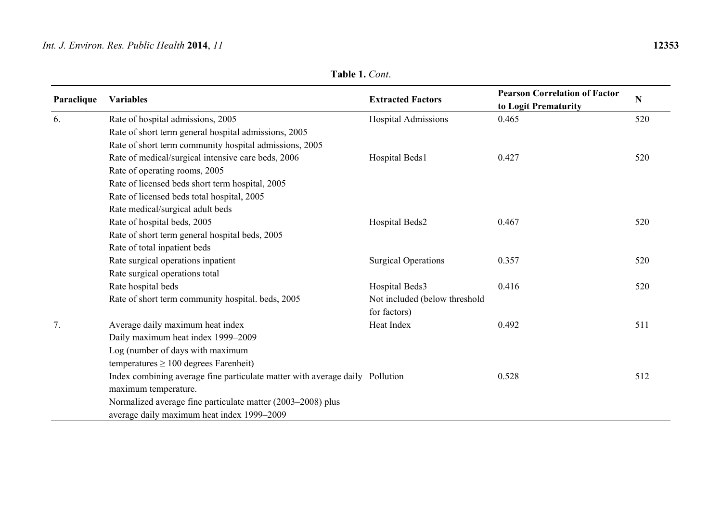| Table 1. Cont. |
|----------------|
|----------------|

| Paraclique | <b>Variables</b>                                                             | <b>Extracted Factors</b>      | <b>Pearson Correlation of Factor</b><br>to Logit Prematurity | ${\bf N}$ |
|------------|------------------------------------------------------------------------------|-------------------------------|--------------------------------------------------------------|-----------|
| 6.         | Rate of hospital admissions, 2005                                            | Hospital Admissions           | 0.465                                                        | 520       |
|            | Rate of short term general hospital admissions, 2005                         |                               |                                                              |           |
|            | Rate of short term community hospital admissions, 2005                       |                               |                                                              |           |
|            | Rate of medical/surgical intensive care beds, 2006                           | Hospital Beds1                | 0.427                                                        | 520       |
|            | Rate of operating rooms, 2005                                                |                               |                                                              |           |
|            | Rate of licensed beds short term hospital, 2005                              |                               |                                                              |           |
|            | Rate of licensed beds total hospital, 2005                                   |                               |                                                              |           |
|            | Rate medical/surgical adult beds                                             |                               |                                                              |           |
|            | Rate of hospital beds, 2005                                                  | Hospital Beds2                | 0.467                                                        | 520       |
|            | Rate of short term general hospital beds, 2005                               |                               |                                                              |           |
|            | Rate of total inpatient beds                                                 |                               |                                                              |           |
|            | Rate surgical operations inpatient                                           | <b>Surgical Operations</b>    | 0.357                                                        | 520       |
|            | Rate surgical operations total                                               |                               |                                                              |           |
|            | Rate hospital beds                                                           | Hospital Beds3                | 0.416                                                        | 520       |
|            | Rate of short term community hospital. beds, 2005                            | Not included (below threshold |                                                              |           |
|            |                                                                              | for factors)                  |                                                              |           |
| 7.         | Average daily maximum heat index                                             | Heat Index                    | 0.492                                                        | 511       |
|            | Daily maximum heat index 1999-2009                                           |                               |                                                              |           |
|            | Log (number of days with maximum                                             |                               |                                                              |           |
|            | temperatures $\geq 100$ degrees Farenheit)                                   |                               |                                                              |           |
|            | Index combining average fine particulate matter with average daily Pollution |                               | 0.528                                                        | 512       |
|            | maximum temperature.                                                         |                               |                                                              |           |
|            | Normalized average fine particulate matter (2003-2008) plus                  |                               |                                                              |           |
|            | average daily maximum heat index 1999-2009                                   |                               |                                                              |           |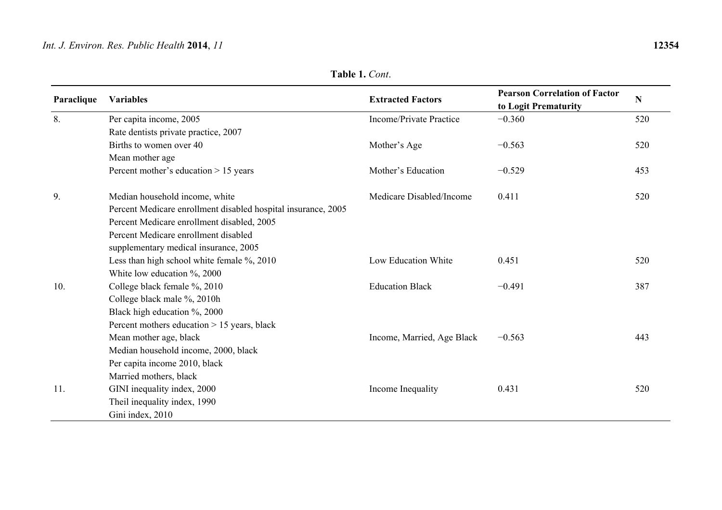## **Table 1.** *Cont*.

| Paraclique | <b>Variables</b>                                              | <b>Extracted Factors</b>   | <b>Pearson Correlation of Factor</b><br>to Logit Prematurity | N   |
|------------|---------------------------------------------------------------|----------------------------|--------------------------------------------------------------|-----|
| 8.         | Per capita income, 2005                                       | Income/Private Practice    | $-0.360$                                                     | 520 |
|            | Rate dentists private practice, 2007                          |                            |                                                              |     |
|            | Births to women over 40                                       | Mother's Age               | $-0.563$                                                     | 520 |
|            | Mean mother age                                               |                            |                                                              |     |
|            | Percent mother's education $> 15$ years                       | Mother's Education         | $-0.529$                                                     | 453 |
| 9.         | Median household income, white                                | Medicare Disabled/Income   | 0.411                                                        | 520 |
|            | Percent Medicare enrollment disabled hospital insurance, 2005 |                            |                                                              |     |
|            | Percent Medicare enrollment disabled, 2005                    |                            |                                                              |     |
|            | Percent Medicare enrollment disabled                          |                            |                                                              |     |
|            | supplementary medical insurance, 2005                         |                            |                                                              |     |
|            | Less than high school white female %, 2010                    | Low Education White        | 0.451                                                        | 520 |
|            | White low education $\%$ , 2000                               |                            |                                                              |     |
| 10.        | College black female %, 2010                                  | <b>Education Black</b>     | $-0.491$                                                     | 387 |
|            | College black male %, 2010h                                   |                            |                                                              |     |
|            | Black high education %, 2000                                  |                            |                                                              |     |
|            | Percent mothers education > 15 years, black                   |                            |                                                              |     |
|            | Mean mother age, black                                        | Income, Married, Age Black | $-0.563$                                                     | 443 |
|            | Median household income, 2000, black                          |                            |                                                              |     |
|            | Per capita income 2010, black                                 |                            |                                                              |     |
|            | Married mothers, black                                        |                            |                                                              |     |
| 11.        | GINI inequality index, 2000                                   | Income Inequality          | 0.431                                                        | 520 |
|            | Theil inequality index, 1990                                  |                            |                                                              |     |
|            | Gini index, 2010                                              |                            |                                                              |     |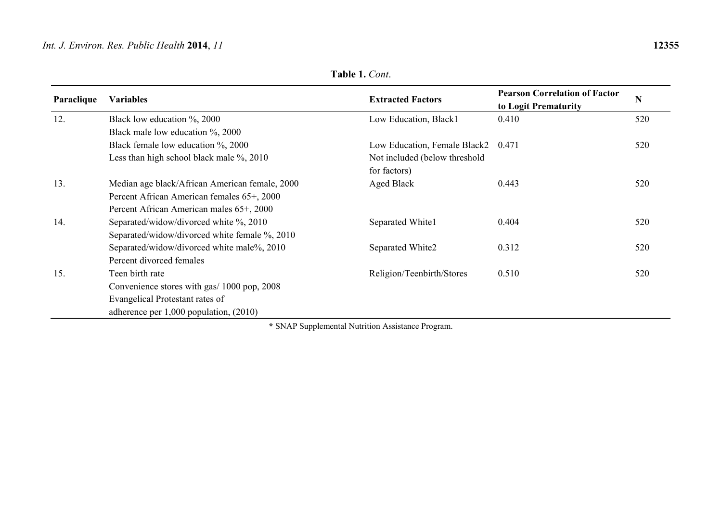| Paraclique | <b>Variables</b>                               | <b>Extracted Factors</b>      | <b>Pearson Correlation of Factor</b><br>to Logit Prematurity | N   |
|------------|------------------------------------------------|-------------------------------|--------------------------------------------------------------|-----|
| 12.        | Black low education $\%$ , 2000                | Low Education, Black1         | 0.410                                                        | 520 |
|            | Black male low education %, 2000               |                               |                                                              |     |
|            | Black female low education %, 2000             | Low Education, Female Black2  | 0.471                                                        | 520 |
|            | Less than high school black male %, 2010       | Not included (below threshold |                                                              |     |
|            |                                                | for factors)                  |                                                              |     |
| 13.        | Median age black/African American female, 2000 | Aged Black                    | 0.443                                                        | 520 |
|            | Percent African American females 65+, 2000     |                               |                                                              |     |
|            | Percent African American males 65+, 2000       |                               |                                                              |     |
| 14.        | Separated/widow/divorced white %, 2010         | Separated White1              | 0.404                                                        | 520 |
|            | Separated/widow/divorced white female %, 2010  |                               |                                                              |     |
|            | Separated/widow/divorced white male%, 2010     | Separated White2              | 0.312                                                        | 520 |
|            | Percent divorced females                       |                               |                                                              |     |
| 15.        | Teen birth rate                                | Religion/Teenbirth/Stores     | 0.510                                                        | 520 |
|            | Convenience stores with gas/ 1000 pop, 2008    |                               |                                                              |     |
|            | Evangelical Protestant rates of                |                               |                                                              |     |
|            | adherence per $1,000$ population, $(2010)$     |                               |                                                              |     |

**Table 1.** *Cont*.

**\*** SNAP Supplemental Nutrition Assistance Program.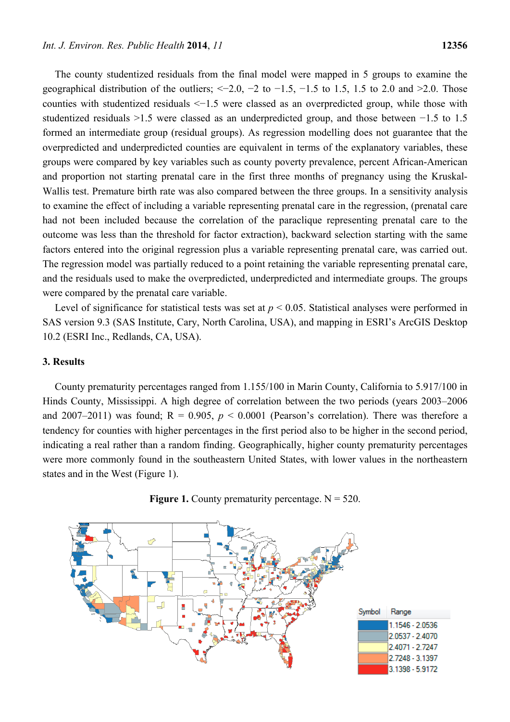The county studentized residuals from the final model were mapped in 5 groups to examine the geographical distribution of the outliers;  $\leq -2.0$ ,  $-2$  to  $-1.5$ ,  $-1.5$  to 1.5, 1.5 to 2.0 and  $\geq 2.0$ . Those counties with studentized residuals <−1.5 were classed as an overpredicted group, while those with studentized residuals >1.5 were classed as an underpredicted group, and those between −1.5 to 1.5 formed an intermediate group (residual groups). As regression modelling does not guarantee that the overpredicted and underpredicted counties are equivalent in terms of the explanatory variables, these groups were compared by key variables such as county poverty prevalence, percent African-American and proportion not starting prenatal care in the first three months of pregnancy using the Kruskal-Wallis test. Premature birth rate was also compared between the three groups. In a sensitivity analysis to examine the effect of including a variable representing prenatal care in the regression, (prenatal care had not been included because the correlation of the paraclique representing prenatal care to the outcome was less than the threshold for factor extraction), backward selection starting with the same factors entered into the original regression plus a variable representing prenatal care, was carried out. The regression model was partially reduced to a point retaining the variable representing prenatal care, and the residuals used to make the overpredicted, underpredicted and intermediate groups. The groups were compared by the prenatal care variable.

Level of significance for statistical tests was set at  $p < 0.05$ . Statistical analyses were performed in SAS version 9.3 (SAS Institute, Cary, North Carolina, USA), and mapping in ESRI's ArcGIS Desktop 10.2 (ESRI Inc., Redlands, CA, USA).

# **3. Results**

County prematurity percentages ranged from 1.155/100 in Marin County, California to 5.917/100 in Hinds County, Mississippi. A high degree of correlation between the two periods (years 2003–2006 and 2007–2011) was found;  $R = 0.905$ ,  $p < 0.0001$  (Pearson's correlation). There was therefore a tendency for counties with higher percentages in the first period also to be higher in the second period, indicating a real rather than a random finding. Geographically, higher county prematurity percentages were more commonly found in the southeastern United States, with lower values in the northeastern states and in the West (Figure 1).



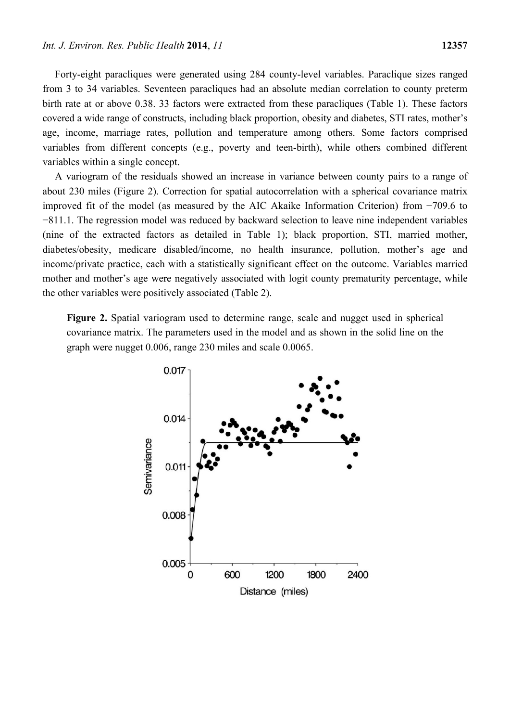Forty-eight paracliques were generated using 284 county-level variables. Paraclique sizes ranged from 3 to 34 variables. Seventeen paracliques had an absolute median correlation to county preterm birth rate at or above 0.38. 33 factors were extracted from these paracliques (Table 1). These factors covered a wide range of constructs, including black proportion, obesity and diabetes, STI rates, mother's age, income, marriage rates, pollution and temperature among others. Some factors comprised variables from different concepts (e.g., poverty and teen-birth), while others combined different variables within a single concept.

A variogram of the residuals showed an increase in variance between county pairs to a range of about 230 miles (Figure 2). Correction for spatial autocorrelation with a spherical covariance matrix improved fit of the model (as measured by the AIC Akaike Information Criterion) from −709.6 to −811.1. The regression model was reduced by backward selection to leave nine independent variables (nine of the extracted factors as detailed in Table 1); black proportion, STI, married mother, diabetes/obesity, medicare disabled/income, no health insurance, pollution, mother's age and income/private practice, each with a statistically significant effect on the outcome. Variables married mother and mother's age were negatively associated with logit county prematurity percentage, while the other variables were positively associated (Table 2).

**Figure 2.** Spatial variogram used to determine range, scale and nugget used in spherical covariance matrix. The parameters used in the model and as shown in the solid line on the graph were nugget 0.006, range 230 miles and scale 0.0065.

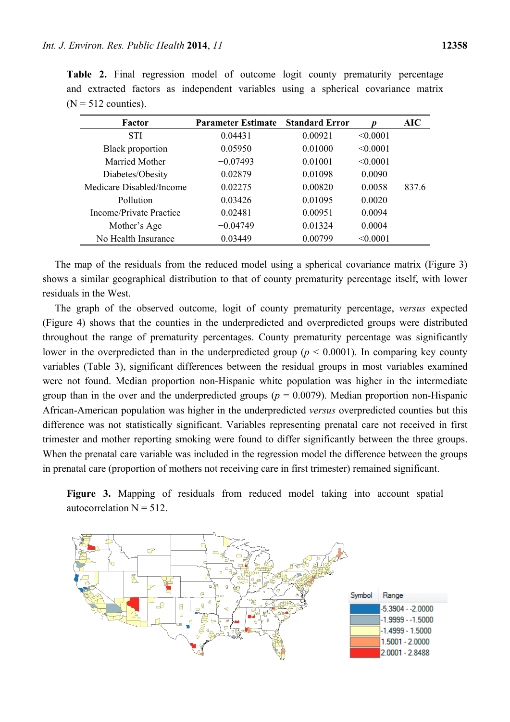| Factor                   | <b>Parameter Estimate</b> | <b>Standard Error</b> |          | <b>AIC</b> |
|--------------------------|---------------------------|-----------------------|----------|------------|
| <b>STI</b>               | 0.04431                   | 0.00921               | < 0.0001 |            |
| <b>Black proportion</b>  | 0.05950                   | 0.01000               | < 0.0001 |            |
| Married Mother           | $-0.07493$                | 0.01001               | < 0.0001 |            |
| Diabetes/Obesity         | 0.02879                   | 0.01098               | 0.0090   |            |
| Medicare Disabled/Income | 0.02275                   | 0.00820               | 0.0058   | $-8376$    |
| Pollution                | 0.03426                   | 0.01095               | 0.0020   |            |
| Income/Private Practice  | 0.02481                   | 0.00951               | 0.0094   |            |
| Mother's Age             | $-0.04749$                | 0.01324               | 0.0004   |            |
| No Health Insurance      | 0.03449                   | 0.00799               | < 0.0001 |            |

Table 2. Final regression model of outcome logit county prematurity percentage and extracted factors as independent variables using a spherical covariance matrix  $(N = 512$  counties).

The map of the residuals from the reduced model using a spherical covariance matrix (Figure 3) shows a similar geographical distribution to that of county prematurity percentage itself, with lower residuals in the West.

The graph of the observed outcome, logit of county prematurity percentage, *versus* expected (Figure 4) shows that the counties in the underpredicted and overpredicted groups were distributed throughout the range of prematurity percentages. County prematurity percentage was significantly lower in the overpredicted than in the underpredicted group ( $p \le 0.0001$ ). In comparing key county variables (Table 3), significant differences between the residual groups in most variables examined were not found. Median proportion non-Hispanic white population was higher in the intermediate group than in the over and the underpredicted groups ( $p = 0.0079$ ). Median proportion non-Hispanic African-American population was higher in the underpredicted *versus* overpredicted counties but this difference was not statistically significant. Variables representing prenatal care not received in first trimester and mother reporting smoking were found to differ significantly between the three groups. When the prenatal care variable was included in the regression model the difference between the groups in prenatal care (proportion of mothers not receiving care in first trimester) remained significant.

**Figure 3.** Mapping of residuals from reduced model taking into account spatial autocorrelation  $N = 512$ .

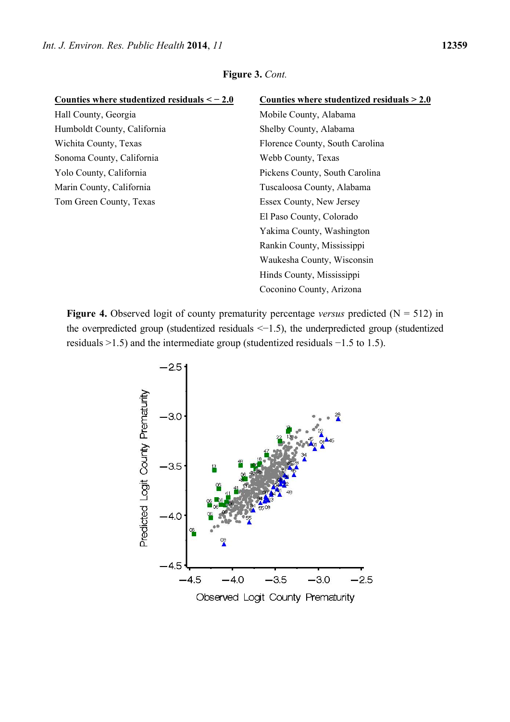| Counties where studentized residuals $<-2.0$ | Counties where studentized residuals $> 2.0$ |
|----------------------------------------------|----------------------------------------------|
| Hall County, Georgia                         | Mobile County, Alabama                       |
| Humboldt County, California                  | Shelby County, Alabama                       |
| Wichita County, Texas                        | Florence County, South Carolina              |
| Sonoma County, California                    | Webb County, Texas                           |
| Yolo County, California                      | Pickens County, South Carolina               |
| Marin County, California                     | Tuscaloosa County, Alabama                   |
| Tom Green County, Texas                      | Essex County, New Jersey                     |
|                                              | El Paso County, Colorado                     |
|                                              | Yakima County, Washington                    |
|                                              | Rankin County, Mississippi                   |
|                                              | Waukesha County, Wisconsin                   |
|                                              | Hinds County, Mississippi                    |
|                                              | Coconino County, Arizona                     |

**Figure 4.** Observed logit of county prematurity percentage *versus* predicted ( $N = 512$ ) in the overpredicted group (studentized residuals <−1.5), the underpredicted group (studentized residuals >1.5) and the intermediate group (studentized residuals −1.5 to 1.5).

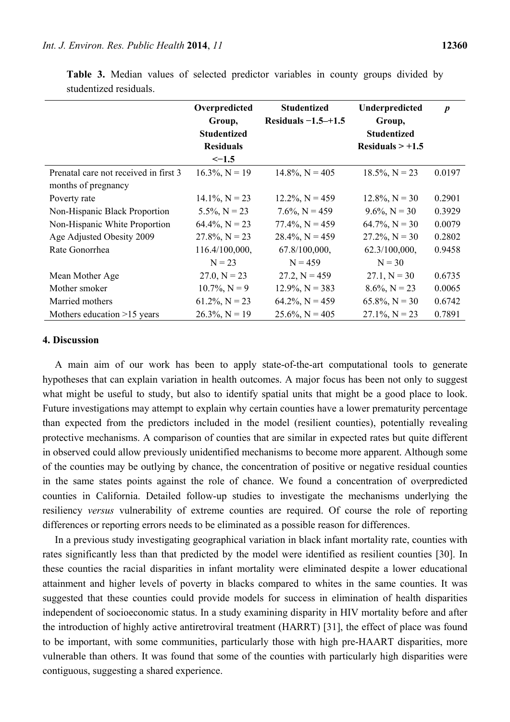|                                       | Overpredicted      | <b>Studentized</b>    | Underpredicted     | $\boldsymbol{p}$ |
|---------------------------------------|--------------------|-----------------------|--------------------|------------------|
|                                       | Group,             | Residuals $-1.5-+1.5$ | Group,             |                  |
|                                       | <b>Studentized</b> |                       | <b>Studentized</b> |                  |
|                                       | <b>Residuals</b>   |                       | Residuals $> +1.5$ |                  |
|                                       | $\le -1.5$         |                       |                    |                  |
| Prenatal care not received in first 3 | $16.3\%, N = 19$   | $14.8\%$ , N = 405    | $18.5\%, N = 23$   | 0.0197           |
| months of pregnancy                   |                    |                       |                    |                  |
| Poverty rate                          | $14.1\%, N = 23$   | $12.2\%, N = 459$     | $12.8\%$ , N = 30  | 0.2901           |
| Non-Hispanic Black Proportion         | $5.5\%, N = 23$    | $7.6\%$ , N = 459     | $9.6\%$ , N = 30   | 0.3929           |
| Non-Hispanic White Proportion         | $64.4\%, N = 23$   | $77.4\%$ , N = 459    | $64.7\%$ , N = 30  | 0.0079           |
| Age Adjusted Obesity 2009             | $27.8\%, N = 23$   | $28.4\%$ , N = 459    | $27.2\%$ , N = 30  | 0.2802           |
| Rate Gonorrhea                        | 116.4/100,000,     | 67.8/100,000,         | 62.3/100,000,      | 0.9458           |
|                                       | $N = 23$           | $N = 459$             | $N = 30$           |                  |
| Mean Mother Age                       | $27.0, N = 23$     | $27.2, N = 459$       | $27.1, N = 30$     | 0.6735           |
| Mother smoker                         | $10.7\%$ , N = 9   | $12.9\%, N = 383$     | $8.6\%, N = 23$    | 0.0065           |
| Married mothers                       | $61.2\%$ , N = 23  | $64.2\%$ , N = 459    | $65.8\%, N = 30$   | 0.6742           |
| Mothers education $>15$ years         | $26.3\%$ , N = 19  | $25.6\%$ , N = 405    | $27.1\%$ , N = 23  | 0.7891           |

**Table 3.** Median values of selected predictor variables in county groups divided by studentized residuals.

#### **4. Discussion**

A main aim of our work has been to apply state-of-the-art computational tools to generate hypotheses that can explain variation in health outcomes. A major focus has been not only to suggest what might be useful to study, but also to identify spatial units that might be a good place to look. Future investigations may attempt to explain why certain counties have a lower prematurity percentage than expected from the predictors included in the model (resilient counties), potentially revealing protective mechanisms. A comparison of counties that are similar in expected rates but quite different in observed could allow previously unidentified mechanisms to become more apparent. Although some of the counties may be outlying by chance, the concentration of positive or negative residual counties in the same states points against the role of chance. We found a concentration of overpredicted counties in California. Detailed follow-up studies to investigate the mechanisms underlying the resiliency *versus* vulnerability of extreme counties are required. Of course the role of reporting differences or reporting errors needs to be eliminated as a possible reason for differences.

In a previous study investigating geographical variation in black infant mortality rate, counties with rates significantly less than that predicted by the model were identified as resilient counties [30]. In these counties the racial disparities in infant mortality were eliminated despite a lower educational attainment and higher levels of poverty in blacks compared to whites in the same counties. It was suggested that these counties could provide models for success in elimination of health disparities independent of socioeconomic status. In a study examining disparity in HIV mortality before and after the introduction of highly active antiretroviral treatment (HARRT) [31], the effect of place was found to be important, with some communities, particularly those with high pre-HAART disparities, more vulnerable than others. It was found that some of the counties with particularly high disparities were contiguous, suggesting a shared experience.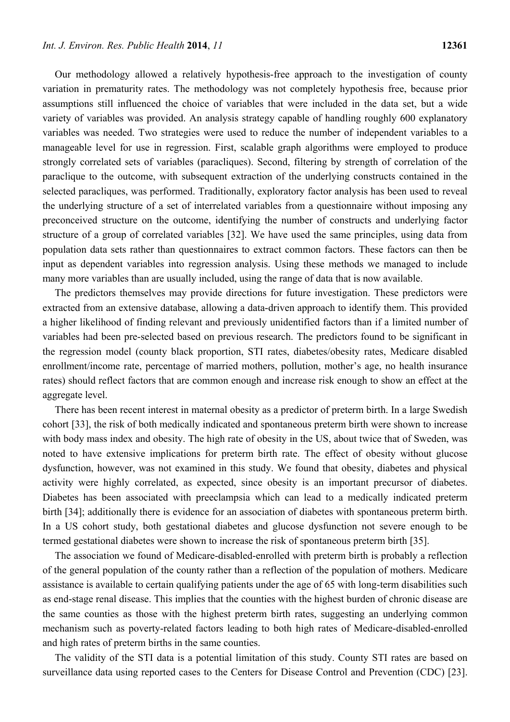Our methodology allowed a relatively hypothesis-free approach to the investigation of county variation in prematurity rates. The methodology was not completely hypothesis free, because prior assumptions still influenced the choice of variables that were included in the data set, but a wide variety of variables was provided. An analysis strategy capable of handling roughly 600 explanatory variables was needed. Two strategies were used to reduce the number of independent variables to a manageable level for use in regression. First, scalable graph algorithms were employed to produce strongly correlated sets of variables (paracliques). Second, filtering by strength of correlation of the paraclique to the outcome, with subsequent extraction of the underlying constructs contained in the selected paracliques, was performed. Traditionally, exploratory factor analysis has been used to reveal the underlying structure of a set of interrelated variables from a questionnaire without imposing any preconceived structure on the outcome, identifying the number of constructs and underlying factor structure of a group of correlated variables [32]. We have used the same principles, using data from population data sets rather than questionnaires to extract common factors. These factors can then be input as dependent variables into regression analysis. Using these methods we managed to include many more variables than are usually included, using the range of data that is now available.

The predictors themselves may provide directions for future investigation. These predictors were extracted from an extensive database, allowing a data-driven approach to identify them. This provided a higher likelihood of finding relevant and previously unidentified factors than if a limited number of variables had been pre-selected based on previous research. The predictors found to be significant in the regression model (county black proportion, STI rates, diabetes/obesity rates, Medicare disabled enrollment/income rate, percentage of married mothers, pollution, mother's age, no health insurance rates) should reflect factors that are common enough and increase risk enough to show an effect at the aggregate level.

There has been recent interest in maternal obesity as a predictor of preterm birth. In a large Swedish cohort [33], the risk of both medically indicated and spontaneous preterm birth were shown to increase with body mass index and obesity. The high rate of obesity in the US, about twice that of Sweden, was noted to have extensive implications for preterm birth rate. The effect of obesity without glucose dysfunction, however, was not examined in this study. We found that obesity, diabetes and physical activity were highly correlated, as expected, since obesity is an important precursor of diabetes. Diabetes has been associated with preeclampsia which can lead to a medically indicated preterm birth [34]; additionally there is evidence for an association of diabetes with spontaneous preterm birth. In a US cohort study, both gestational diabetes and glucose dysfunction not severe enough to be termed gestational diabetes were shown to increase the risk of spontaneous preterm birth [35].

The association we found of Medicare-disabled-enrolled with preterm birth is probably a reflection of the general population of the county rather than a reflection of the population of mothers. Medicare assistance is available to certain qualifying patients under the age of 65 with long-term disabilities such as end-stage renal disease. This implies that the counties with the highest burden of chronic disease are the same counties as those with the highest preterm birth rates, suggesting an underlying common mechanism such as poverty-related factors leading to both high rates of Medicare-disabled-enrolled and high rates of preterm births in the same counties.

The validity of the STI data is a potential limitation of this study. County STI rates are based on surveillance data using reported cases to the Centers for Disease Control and Prevention (CDC) [23].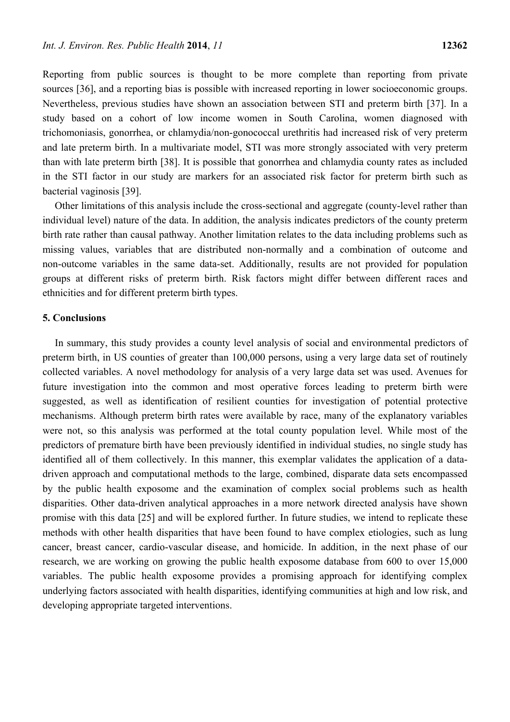Reporting from public sources is thought to be more complete than reporting from private sources [36], and a reporting bias is possible with increased reporting in lower socioeconomic groups. Nevertheless, previous studies have shown an association between STI and preterm birth [37]. In a study based on a cohort of low income women in South Carolina, women diagnosed with trichomoniasis, gonorrhea, or chlamydia/non-gonococcal urethritis had increased risk of very preterm and late preterm birth. In a multivariate model, STI was more strongly associated with very preterm than with late preterm birth [38]. It is possible that gonorrhea and chlamydia county rates as included in the STI factor in our study are markers for an associated risk factor for preterm birth such as bacterial vaginosis [39].

Other limitations of this analysis include the cross-sectional and aggregate (county-level rather than individual level) nature of the data. In addition, the analysis indicates predictors of the county preterm birth rate rather than causal pathway. Another limitation relates to the data including problems such as missing values, variables that are distributed non-normally and a combination of outcome and non-outcome variables in the same data-set. Additionally, results are not provided for population groups at different risks of preterm birth. Risk factors might differ between different races and ethnicities and for different preterm birth types.

# **5. Conclusions**

In summary, this study provides a county level analysis of social and environmental predictors of preterm birth, in US counties of greater than 100,000 persons, using a very large data set of routinely collected variables. A novel methodology for analysis of a very large data set was used. Avenues for future investigation into the common and most operative forces leading to preterm birth were suggested, as well as identification of resilient counties for investigation of potential protective mechanisms. Although preterm birth rates were available by race, many of the explanatory variables were not, so this analysis was performed at the total county population level. While most of the predictors of premature birth have been previously identified in individual studies, no single study has identified all of them collectively. In this manner, this exemplar validates the application of a datadriven approach and computational methods to the large, combined, disparate data sets encompassed by the public health exposome and the examination of complex social problems such as health disparities. Other data-driven analytical approaches in a more network directed analysis have shown promise with this data [25] and will be explored further. In future studies, we intend to replicate these methods with other health disparities that have been found to have complex etiologies, such as lung cancer, breast cancer, cardio-vascular disease, and homicide. In addition, in the next phase of our research, we are working on growing the public health exposome database from 600 to over 15,000 variables. The public health exposome provides a promising approach for identifying complex underlying factors associated with health disparities, identifying communities at high and low risk, and developing appropriate targeted interventions.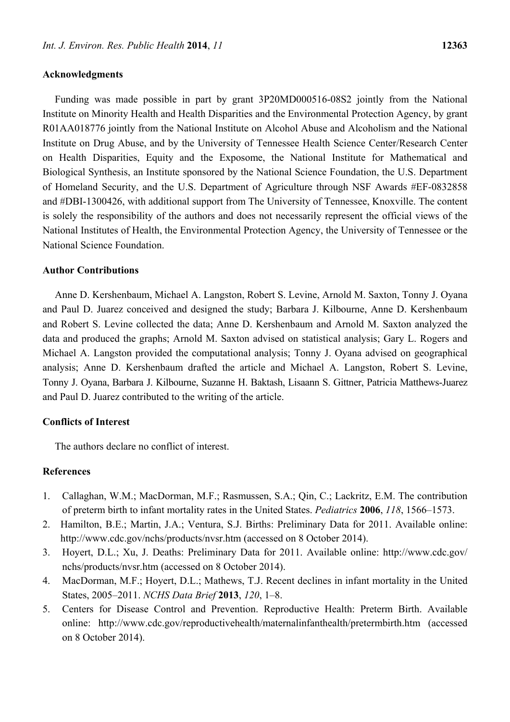# **Acknowledgments**

Funding was made possible in part by grant 3P20MD000516-08S2 jointly from the National Institute on Minority Health and Health Disparities and the Environmental Protection Agency, by grant R01AA018776 jointly from the National Institute on Alcohol Abuse and Alcoholism and the National Institute on Drug Abuse, and by the University of Tennessee Health Science Center/Research Center on Health Disparities, Equity and the Exposome, the National Institute for Mathematical and Biological Synthesis, an Institute sponsored by the National Science Foundation, the U.S. Department of Homeland Security, and the U.S. Department of Agriculture through NSF Awards #EF-0832858 and #DBI-1300426, with additional support from The University of Tennessee, Knoxville. The content is solely the responsibility of the authors and does not necessarily represent the official views of the National Institutes of Health, the Environmental Protection Agency, the University of Tennessee or the National Science Foundation.

# **Author Contributions**

Anne D. Kershenbaum, Michael A. Langston, Robert S. Levine, Arnold M. Saxton, Tonny J. Oyana and Paul D. Juarez conceived and designed the study; Barbara J. Kilbourne, Anne D. Kershenbaum and Robert S. Levine collected the data; Anne D. Kershenbaum and Arnold M. Saxton analyzed the data and produced the graphs; Arnold M. Saxton advised on statistical analysis; Gary L. Rogers and Michael A. Langston provided the computational analysis; Tonny J. Oyana advised on geographical analysis; Anne D. Kershenbaum drafted the article and Michael A. Langston, Robert S. Levine, Tonny J. Oyana, Barbara J. Kilbourne, Suzanne H. Baktash, Lisaann S. Gittner, Patricia Matthews-Juarez and Paul D. Juarez contributed to the writing of the article.

#### **Conflicts of Interest**

The authors declare no conflict of interest.

# **References**

- 1. Callaghan, W.M.; MacDorman, M.F.; Rasmussen, S.A.; Qin, C.; Lackritz, E.M. The contribution of preterm birth to infant mortality rates in the United States. *Pediatrics* **2006**, *118*, 1566–1573.
- 2. Hamilton, B.E.; Martin, J.A.; Ventura, S.J. Births: Preliminary Data for 2011. Available online: http://www.cdc.gov/nchs/products/nvsr.htm (accessed on 8 October 2014).
- 3. Hoyert, D.L.; Xu, J. Deaths: Preliminary Data for 2011. Available online: http://www.cdc.gov/ nchs/products/nvsr.htm (accessed on 8 October 2014).
- 4. MacDorman, M.F.; Hoyert, D.L.; Mathews, T.J. Recent declines in infant mortality in the United States, 2005–2011. *NCHS Data Brief* **2013**, *120*, 1–8.
- 5. Centers for Disease Control and Prevention. Reproductive Health: Preterm Birth. Available online: http://www.cdc.gov/reproductivehealth/maternalinfanthealth/pretermbirth.htm (accessed on 8 October 2014).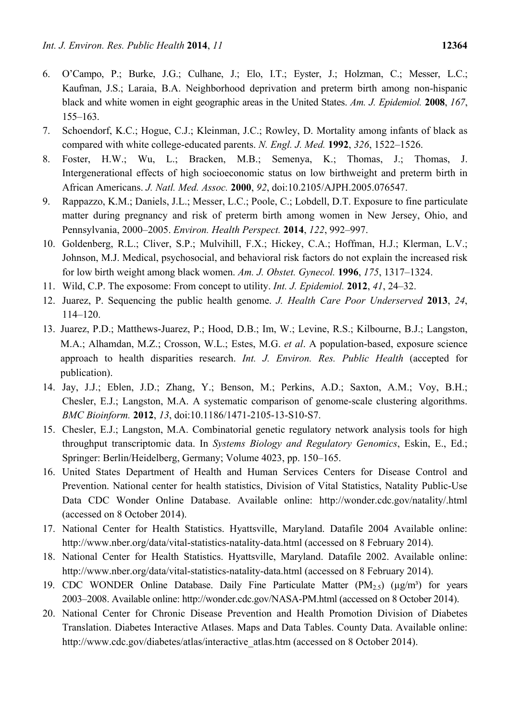- 6. O'Campo, P.; Burke, J.G.; Culhane, J.; Elo, I.T.; Eyster, J.; Holzman, C.; Messer, L.C.; Kaufman, J.S.; Laraia, B.A. Neighborhood deprivation and preterm birth among non-hispanic black and white women in eight geographic areas in the United States. *Am. J. Epidemiol.* **2008**, *167*, 155–163.
- 7. Schoendorf, K.C.; Hogue, C.J.; Kleinman, J.C.; Rowley, D. Mortality among infants of black as compared with white college-educated parents. *N. Engl. J. Med.* **1992**, *326*, 1522–1526.
- 8. Foster, H.W.; Wu, L.; Bracken, M.B.; Semenya, K.; Thomas, J.; Thomas, J. Intergenerational effects of high socioeconomic status on low birthweight and preterm birth in African Americans. *J. Natl. Med. Assoc.* **2000**, *92*, doi:10.2105/AJPH.2005.076547.
- 9. Rappazzo, K.M.; Daniels, J.L.; Messer, L.C.; Poole, C.; Lobdell, D.T. Exposure to fine particulate matter during pregnancy and risk of preterm birth among women in New Jersey, Ohio, and Pennsylvania, 2000–2005. *Environ. Health Perspect.* **2014**, *122*, 992–997.
- 10. Goldenberg, R.L.; Cliver, S.P.; Mulvihill, F.X.; Hickey, C.A.; Hoffman, H.J.; Klerman, L.V.; Johnson, M.J. Medical, psychosocial, and behavioral risk factors do not explain the increased risk for low birth weight among black women. *Am. J. Obstet. Gynecol.* **1996**, *175*, 1317–1324.
- 11. Wild, C.P. The exposome: From concept to utility. *Int. J. Epidemiol.* **2012**, *41*, 24–32.
- 12. Juarez, P. Sequencing the public health genome. *J. Health Care Poor Underserved* **2013**, *24*, 114–120.
- 13. Juarez, P.D.; Matthews-Juarez, P.; Hood, D.B.; Im, W.; Levine, R.S.; Kilbourne, B.J.; Langston, M.A.; Alhamdan, M.Z.; Crosson, W.L.; Estes, M.G. *et al*. A population-based, exposure science approach to health disparities research. *Int. J. Environ. Res. Public Health* (accepted for publication).
- 14. Jay, J.J.; Eblen, J.D.; Zhang, Y.; Benson, M.; Perkins, A.D.; Saxton, A.M.; Voy, B.H.; Chesler, E.J.; Langston, M.A. A systematic comparison of genome-scale clustering algorithms. *BMC Bioinform.* **2012**, *13*, doi:10.1186/1471-2105-13-S10-S7.
- 15. Chesler, E.J.; Langston, M.A. Combinatorial genetic regulatory network analysis tools for high throughput transcriptomic data. In *Systems Biology and Regulatory Genomics*, Eskin, E., Ed.; Springer: Berlin/Heidelberg, Germany; Volume 4023, pp. 150–165.
- 16. United States Department of Health and Human Services Centers for Disease Control and Prevention. National center for health statistics, Division of Vital Statistics, Natality Public-Use Data CDC Wonder Online Database. Available online: http://wonder.cdc.gov/natality/.html (accessed on 8 October 2014).
- 17. National Center for Health Statistics. Hyattsville, Maryland. Datafile 2004 Available online: http://www.nber.org/data/vital-statistics-natality-data.html (accessed on 8 February 2014).
- 18. National Center for Health Statistics. Hyattsville, Maryland. Datafile 2002. Available online: http://www.nber.org/data/vital-statistics-natality-data.html (accessed on 8 February 2014).
- 19. CDC WONDER Online Database. Daily Fine Particulate Matter  $(PM<sub>2.5</sub>)$  ( $\mu$ g/m<sup>3</sup>) for years 2003–2008. Available online: http://wonder.cdc.gov/NASA-PM.html (accessed on 8 October 2014).
- 20. National Center for Chronic Disease Prevention and Health Promotion Division of Diabetes Translation. Diabetes Interactive Atlases. Maps and Data Tables. County Data. Available online: http://www.cdc.gov/diabetes/atlas/interactive\_atlas.htm (accessed on 8 October 2014).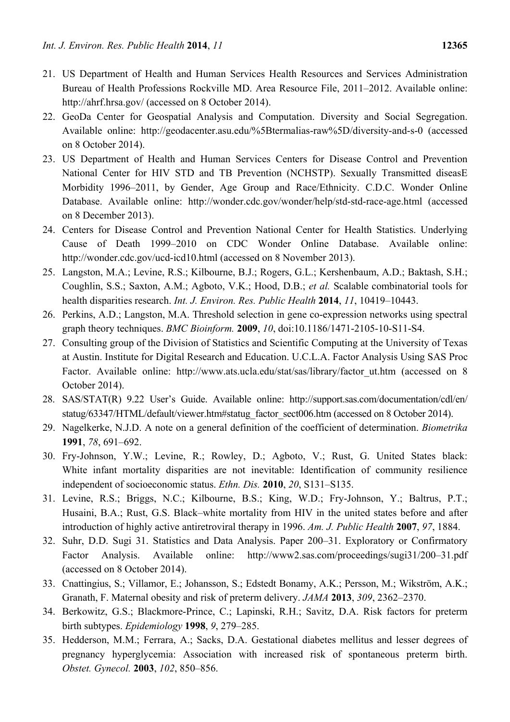- 21. US Department of Health and Human Services Health Resources and Services Administration Bureau of Health Professions Rockville MD. Area Resource File, 2011–2012. Available online: http://ahrf.hrsa.gov/ (accessed on 8 October 2014).
- 22. GeoDa Center for Geospatial Analysis and Computation. Diversity and Social Segregation. Available online: http://geodacenter.asu.edu/%5Btermalias-raw%5D/diversity-and-s-0 (accessed on 8 October 2014).
- 23. US Department of Health and Human Services Centers for Disease Control and Prevention National Center for HIV STD and TB Prevention (NCHSTP). Sexually Transmitted diseasE Morbidity 1996–2011, by Gender, Age Group and Race/Ethnicity. C.D.C. Wonder Online Database. Available online: http://wonder.cdc.gov/wonder/help/std-std-race-age.html (accessed on 8 December 2013).
- 24. Centers for Disease Control and Prevention National Center for Health Statistics. Underlying Cause of Death 1999–2010 on CDC Wonder Online Database. Available online: http://wonder.cdc.gov/ucd-icd10.html (accessed on 8 November 2013).
- 25. Langston, M.A.; Levine, R.S.; Kilbourne, B.J.; Rogers, G.L.; Kershenbaum, A.D.; Baktash, S.H.; Coughlin, S.S.; Saxton, A.M.; Agboto, V.K.; Hood, D.B.; *et al.* Scalable combinatorial tools for health disparities research. *Int. J. Environ. Res. Public Health* **2014**, *11*, 10419–10443.
- 26. Perkins, A.D.; Langston, M.A. Threshold selection in gene co-expression networks using spectral graph theory techniques. *BMC Bioinform.* **2009**, *10*, doi:10.1186/1471-2105-10-S11-S4.
- 27. Consulting group of the Division of Statistics and Scientific Computing at the University of Texas at Austin. Institute for Digital Research and Education. U.C.L.A. Factor Analysis Using SAS Proc Factor. Available online: http://www.ats.ucla.edu/stat/sas/library/factor\_ut.htm (accessed on 8 October 2014).
- 28. SAS/STAT(R) 9.22 User's Guide. Available online: http://support.sas.com/documentation/cdl/en/ statug/63347/HTML/default/viewer.htm#statug\_factor\_sect006.htm (accessed on 8 October 2014).
- 29. Nagelkerke, N.J.D. A note on a general definition of the coefficient of determination. *Biometrika* **1991**, *78*, 691–692.
- 30. Fry-Johnson, Y.W.; Levine, R.; Rowley, D.; Agboto, V.; Rust, G. United States black: White infant mortality disparities are not inevitable: Identification of community resilience independent of socioeconomic status. *Ethn. Dis.* **2010**, *20*, S131–S135.
- 31. Levine, R.S.; Briggs, N.C.; Kilbourne, B.S.; King, W.D.; Fry-Johnson, Y.; Baltrus, P.T.; Husaini, B.A.; Rust, G.S. Black–white mortality from HIV in the united states before and after introduction of highly active antiretroviral therapy in 1996. *Am. J. Public Health* **2007**, *97*, 1884.
- 32. Suhr, D.D. Sugi 31. Statistics and Data Analysis. Paper 200–31. Exploratory or Confirmatory Factor Analysis. Available online: http://www2.sas.com/proceedings/sugi31/200–31.pdf (accessed on 8 October 2014).
- 33. Cnattingius, S.; Villamor, E.; Johansson, S.; Edstedt Bonamy, A.K.; Persson, M.; Wikström, A.K.; Granath, F. Maternal obesity and risk of preterm delivery. *JAMA* **2013**, *309*, 2362–2370.
- 34. Berkowitz, G.S.; Blackmore-Prince, C.; Lapinski, R.H.; Savitz, D.A. Risk factors for preterm birth subtypes. *Epidemiology* **1998**, *9*, 279–285.
- 35. Hedderson, M.M.; Ferrara, A.; Sacks, D.A. Gestational diabetes mellitus and lesser degrees of pregnancy hyperglycemia: Association with increased risk of spontaneous preterm birth. *Obstet. Gynecol.* **2003**, *102*, 850–856.